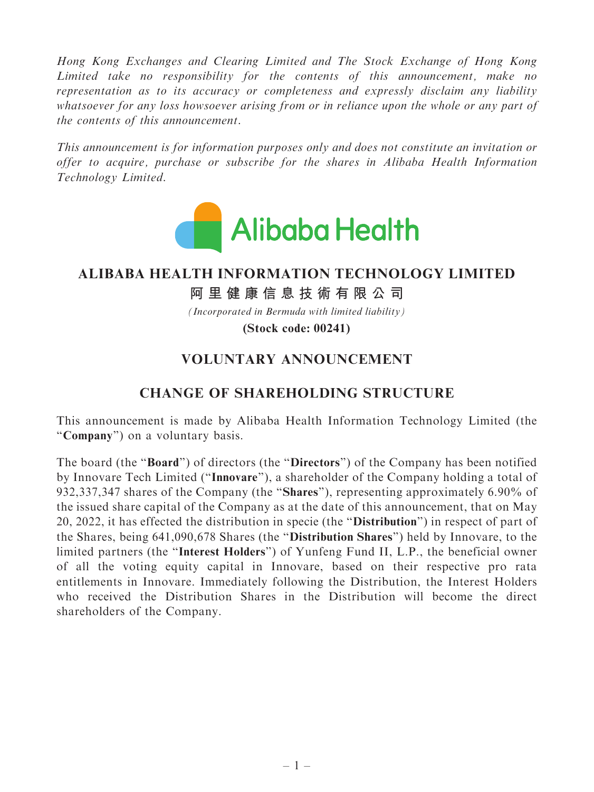Hong Kong Exchanges and Clearing Limited and The Stock Exchange of Hong Kong Limited take no responsibility for the contents of this announcement, make no representation as to its accuracy or completeness and expressly disclaim any liability whatsoever for any loss howsoever arising from or in reliance upon the whole or any part of the contents of this announcement.

This announcement is for information purposes only and does not constitute an invitation or offer to acquire, purchase or subscribe for the shares in Alibaba Health Information Technology Limited.



## **ALIBABA HEALTH INFORMATION TECHNOLOGY LIMITED**

**阿里健康信息技術有限公司**

*(Incorporated in Bermuda with limited liability)*

**(Stock code: 00241)**

## VOLUNTARY ANNOUNCEMENT

## CHANGE OF SHAREHOLDING STRUCTURE

This announcement is made by Alibaba Health Information Technology Limited (the "Company") on a voluntary basis.

The board (the "**Board**") of directors (the "**Directors**") of the Company has been notified by Innovare Tech Limited (''Innovare''), a shareholder of the Company holding a total of 932,337,347 shares of the Company (the "Shares"), representing approximately 6.90% of the issued share capital of the Company as at the date of this announcement, that on May 20, 2022, it has effected the distribution in specie (the ''Distribution'') in respect of part of the Shares, being 641,090,678 Shares (the ''Distribution Shares'') held by Innovare, to the limited partners (the ''Interest Holders'') of Yunfeng Fund II, L.P., the beneficial owner of all the voting equity capital in Innovare, based on their respective pro rata entitlements in Innovare. Immediately following the Distribution, the Interest Holders who received the Distribution Shares in the Distribution will become the direct shareholders of the Company.